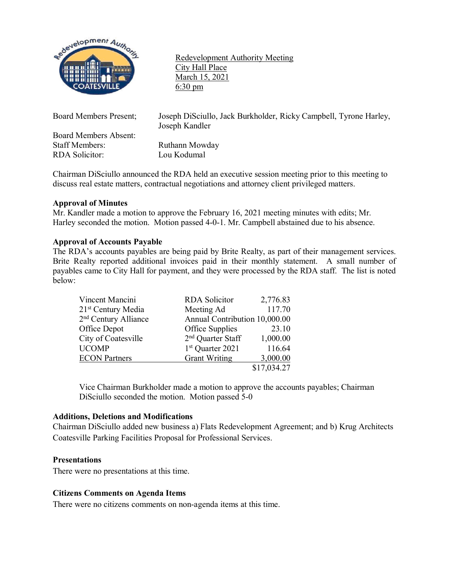

Redevelopment Authority Meeting City Hall Place March 15, 2021 6:30 pm

Board Members Absent: Staff Members: Ruthann Mowday RDA Solicitor: Lou Kodumal

Board Members Present; Joseph DiSciullo, Jack Burkholder, Ricky Campbell, Tyrone Harley, Joseph Kandler

Chairman DiSciullo announced the RDA held an executive session meeting prior to this meeting to discuss real estate matters, contractual negotiations and attorney client privileged matters.

# **Approval of Minutes**

Mr. Kandler made a motion to approve the February 16, 2021 meeting minutes with edits; Mr. Harley seconded the motion. Motion passed 4-0-1. Mr. Campbell abstained due to his absence.

## **Approval of Accounts Payable**

The RDA's accounts payables are being paid by Brite Realty, as part of their management services. Brite Realty reported additional invoices paid in their monthly statement. A small number of payables came to City Hall for payment, and they were processed by the RDA staff. The list is noted below:

| Vincent Mancini                  | <b>RDA</b> Solicitor          | 2,776.83    |
|----------------------------------|-------------------------------|-------------|
| 21 <sup>st</sup> Century Media   | Meeting Ad                    | 117.70      |
| 2 <sup>nd</sup> Century Alliance | Annual Contribution 10,000.00 |             |
| Office Depot                     | Office Supplies               | 23.10       |
| City of Coatesville              | 2 <sup>nd</sup> Quarter Staff | 1,000.00    |
| <b>UCOMP</b>                     | 1 <sup>st</sup> Quarter 2021  | 116.64      |
| <b>ECON</b> Partners             | <b>Grant Writing</b>          | 3,000.00    |
|                                  |                               | \$17,034.27 |

Vice Chairman Burkholder made a motion to approve the accounts payables; Chairman DiSciullo seconded the motion. Motion passed 5-0

# **Additions, Deletions and Modifications**

Chairman DiSciullo added new business a) Flats Redevelopment Agreement; and b) Krug Architects Coatesville Parking Facilities Proposal for Professional Services.

### **Presentations**

There were no presentations at this time.

# **Citizens Comments on Agenda Items**

There were no citizens comments on non-agenda items at this time.